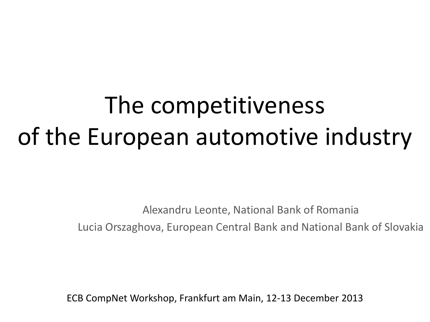# The competitiveness of the European automotive industry

Alexandru Leonte, National Bank of Romania Lucia Orszaghova, European Central Bank and National Bank of Slovakia

ECB CompNet Workshop, Frankfurt am Main, 12-13 December 2013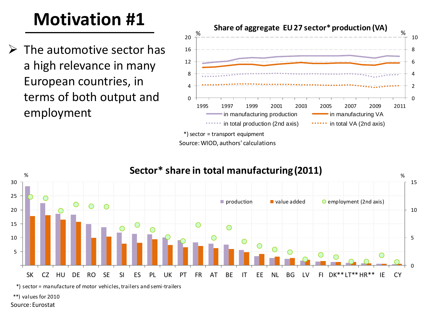# **Motivation #1**

 $\triangleright$  The automotive sector has a high relevance in many European countries, in terms of both output and employment



Source: WIOD, authors' calculations



\*) sector = manufacture of motor vehicles, trailers and semi-trailers

\*\*) values for 2010

Source: Eurostat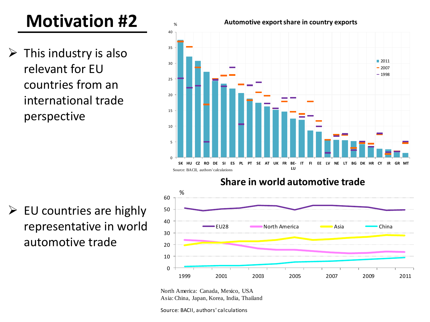# **Motivation #2**

 $\triangleright$  This industry is also relevant for EU countries from an international trade perspective

 $\triangleright$  EU countries are highly representative in world automotive trade



1999 2001 2003 2005 2007 2009 2011



Source: BACII, authors' calculations

0

10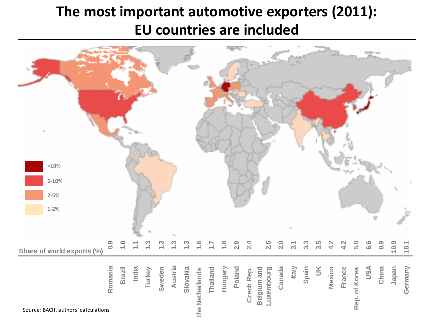#### **The most important automotive exporters (2011): EU countries are included**

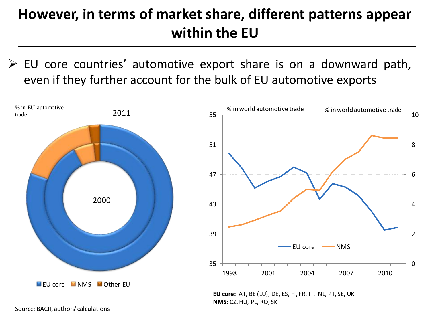## **However, in terms of market share, different patterns appear within the EU**

 $\triangleright$  EU core countries' automotive export share is on a downward path, even if they further account for the bulk of EU automotive exports



Source: BACII, authors' calculations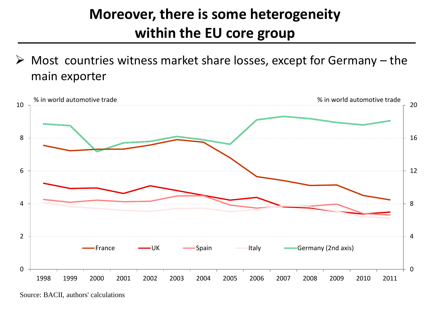## **Moreover, there is some heterogeneity within the EU core group**

 $\triangleright$  Most countries witness market share losses, except for Germany – the main exporter



Source: BACII, authors' calculations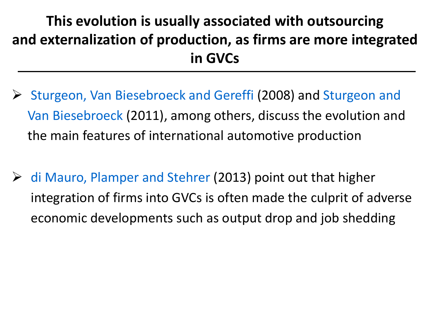# **This evolution is usually associated with outsourcing and externalization of production, as firms are more integrated in GVCs**

- Sturgeon, Van Biesebroeck and Gereffi (2008) and Sturgeon and Van Biesebroeck (2011), among others, discuss the evolution and the main features of international automotive production
- $\triangleright$  di Mauro, Plamper and Stehrer (2013) point out that higher integration of firms into GVCs is often made the culprit of adverse economic developments such as output drop and job shedding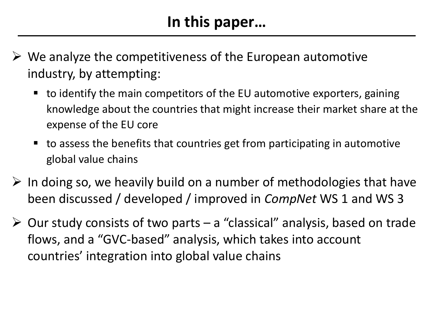- $\triangleright$  We analyze the competitiveness of the European automotive industry, by attempting:
	- $\blacksquare$  to identify the main competitors of the EU automotive exporters, gaining knowledge about the countries that might increase their market share at the expense of the EU core
	- to assess the benefits that countries get from participating in automotive global value chains
- $\triangleright$  In doing so, we heavily build on a number of methodologies that have been discussed / developed / improved in *CompNet* WS 1 and WS 3
- $\triangleright$  Our study consists of two parts a "classical" analysis, based on trade flows, and a "GVC-based" analysis, which takes into account countries' integration into global value chains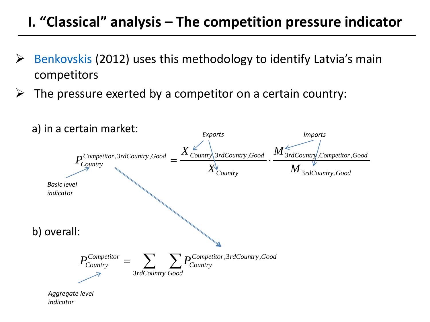#### **I. "Classical" analysis – The competition pressure indicator**

- Benkovskis (2012) uses this methodology to identify Latvia's main competitors
- The pressure exerted by a competitor on a certain country:

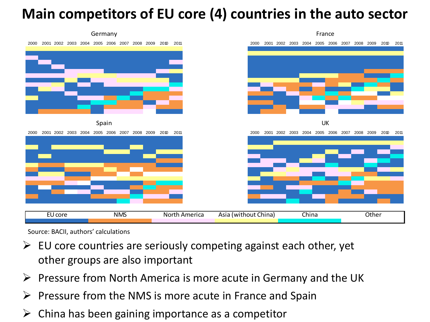#### **Main competitors of EU core (4) countries in the auto sector**



Source: BACII, authors' calculations

- $\triangleright$  EU core countries are seriously competing against each other, yet other groups are also important
- $\triangleright$  Pressure from North America is more acute in Germany and the UK
- $\triangleright$  Pressure from the NMS is more acute in France and Spain
- $\triangleright$  China has been gaining importance as a competitor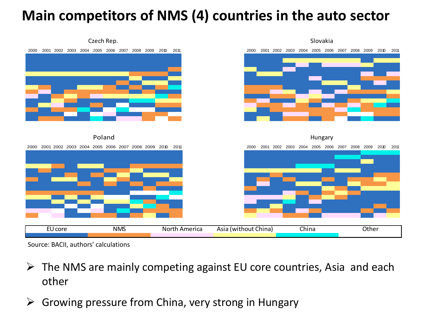#### **Main competitors of NMS (4) countries in the auto sector**



Source: BACII, authors' calculations

- $\triangleright$  The NMS are mainly competing against EU core countries, Asia and each other
- $\triangleright$  Growing pressure from China, very strong in Hungary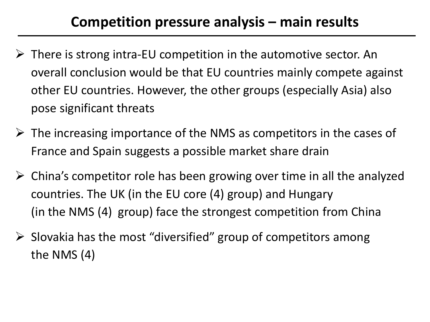#### **Competition pressure analysis – main results**

- $\triangleright$  There is strong intra-EU competition in the automotive sector. An overall conclusion would be that EU countries mainly compete against other EU countries. However, the other groups (especially Asia) also pose significant threats
- $\triangleright$  The increasing importance of the NMS as competitors in the cases of France and Spain suggests a possible market share drain
- $\triangleright$  China's competitor role has been growing over time in all the analyzed countries. The UK (in the EU core (4) group) and Hungary (in the NMS (4) group) face the strongest competition from China
- $\triangleright$  Slovakia has the most "diversified" group of competitors among the NMS (4)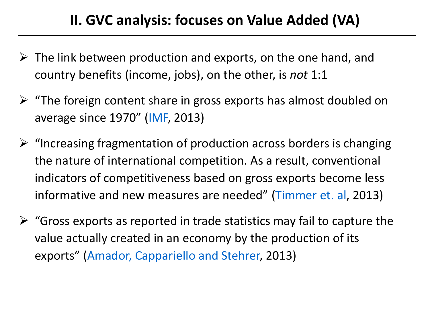#### **II. GVC analysis: focuses on Value Added (VA)**

- $\triangleright$  The link between production and exports, on the one hand, and country benefits (income, jobs), on the other, is *not* 1:1
- $\triangleright$  "The foreign content share in gross exports has almost doubled on average since 1970" (IMF, 2013)
- $\triangleright$  "Increasing fragmentation of production across borders is changing the nature of international competition. As a result, conventional indicators of competitiveness based on gross exports become less informative and new measures are needed" (Timmer et. al, 2013)
- $\triangleright$  "Gross exports as reported in trade statistics may fail to capture the value actually created in an economy by the production of its exports" (Amador, Cappariello and Stehrer, 2013)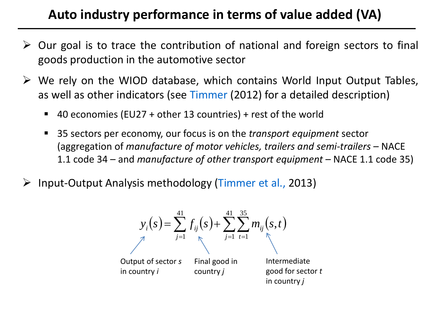#### **Auto industry performance in terms of value added (VA)**

- $\triangleright$  Our goal is to trace the contribution of national and foreign sectors to final goods production in the automotive sector
- $\triangleright$  We rely on the WIOD database, which contains World Input Output Tables, as well as other indicators (see Timmer (2012) for a detailed description)
	- 40 economies (EU27 + other 13 countries) + rest of the world
	- 35 sectors per economy, our focus is on the *transport equipment* sector (aggregation of *manufacture of motor vehicles, trailers and semi-trailers –* NACE 1.1 code 34 *–* and *manufacture of other transport equipment –* NACE 1.1 code 35)
- Input-Output Analysis methodology (Timmer et al., 2013)

$$
y_i(s) = \sum_{j=1}^{41} f_{ij}(s) + \sum_{j=1}^{41} \sum_{t=1}^{35} m_{ij}(s, t)
$$
  
Output of sector *s* Final good in intermediate  
in country *i* country *j* good for sector *t*  
in country *j*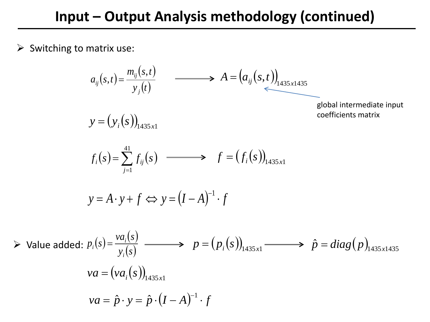Switching to matrix use:

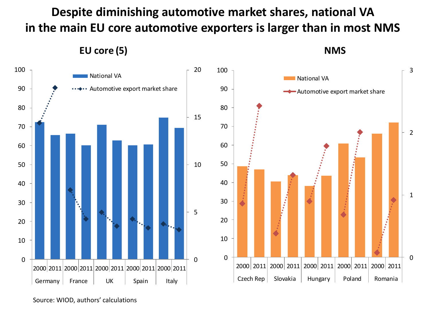**Despite diminishing automotive market shares, national VA in the main EU core automotive exporters is larger than in most NMS** 

**EU core (5)**

**NMS**



Source: WIOD, authors' calculations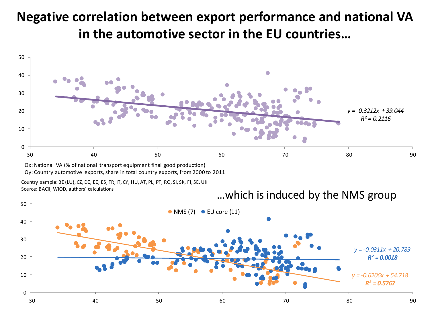# **Negative correlation between export performance and national VA in the automotive sector in the EU countries…** |<br>50<br>|



Oy: Country automotive exports, share in total country exports, from 2000 to 2011

Country sample: BE (LU), CZ, DE, EE, ES, FR, IT, CY, HU, AT, PL, PT, RO, SI, SK, FI, SE, UK Source: BACII, WIOD, authors' calculations

…which is induced by the NMS group

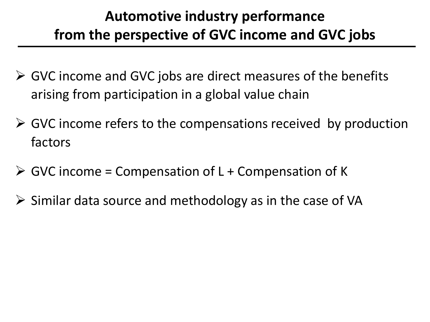### **Automotive industry performance from the perspective of GVC income and GVC jobs**

- $\triangleright$  GVC income and GVC jobs are direct measures of the benefits arising from participation in a global value chain
- $\triangleright$  GVC income refers to the compensations received by production factors
- $\triangleright$  GVC income = Compensation of L + Compensation of K
- $\triangleright$  Similar data source and methodology as in the case of VA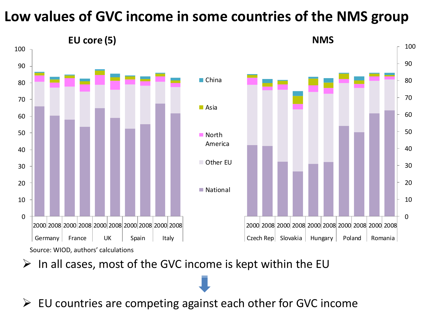#### **Low values of GVC income in some countries of the NMS group**



 $\triangleright$  In all cases, most of the GVC income is kept within the EU

 $\triangleright$  EU countries are competing against each other for GVC income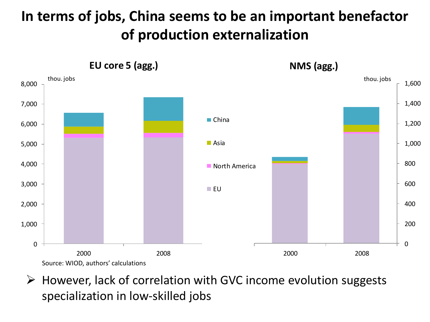## **In terms of jobs, China seems to be an important benefactor of production externalization**



 $\triangleright$  However, lack of correlation with GVC income evolution suggests specialization in low-skilled jobs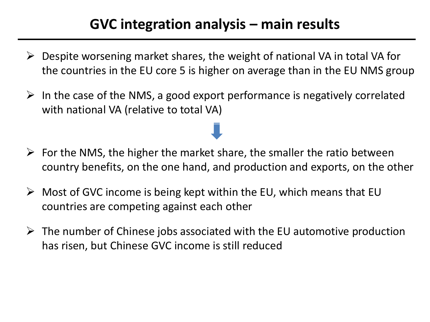#### **GVC integration analysis – main results**

- $\triangleright$  Despite worsening market shares, the weight of national VA in total VA for the countries in the EU core 5 is higher on average than in the EU NMS group
- $\triangleright$  In the case of the NMS, a good export performance is negatively correlated with national VA (relative to total VA)
- $\triangleright$  For the NMS, the higher the market share, the smaller the ratio between country benefits, on the one hand, and production and exports, on the other
- $\triangleright$  Most of GVC income is being kept within the EU, which means that EU countries are competing against each other
- $\triangleright$  The number of Chinese jobs associated with the EU automotive production has risen, but Chinese GVC income is still reduced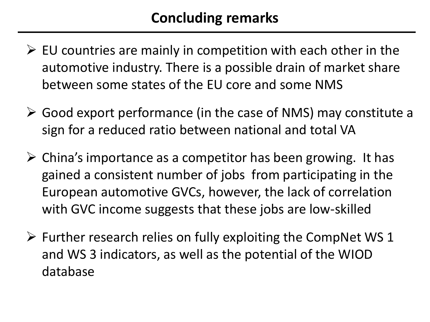- $\triangleright$  EU countries are mainly in competition with each other in the automotive industry. There is a possible drain of market share between some states of the EU core and some NMS
- $\triangleright$  Good export performance (in the case of NMS) may constitute a sign for a reduced ratio between national and total VA
- $\triangleright$  China's importance as a competitor has been growing. It has gained a consistent number of jobs from participating in the European automotive GVCs, however, the lack of correlation with GVC income suggests that these jobs are low-skilled
- $\triangleright$  Further research relies on fully exploiting the CompNet WS 1 and WS 3 indicators, as well as the potential of the WIOD database